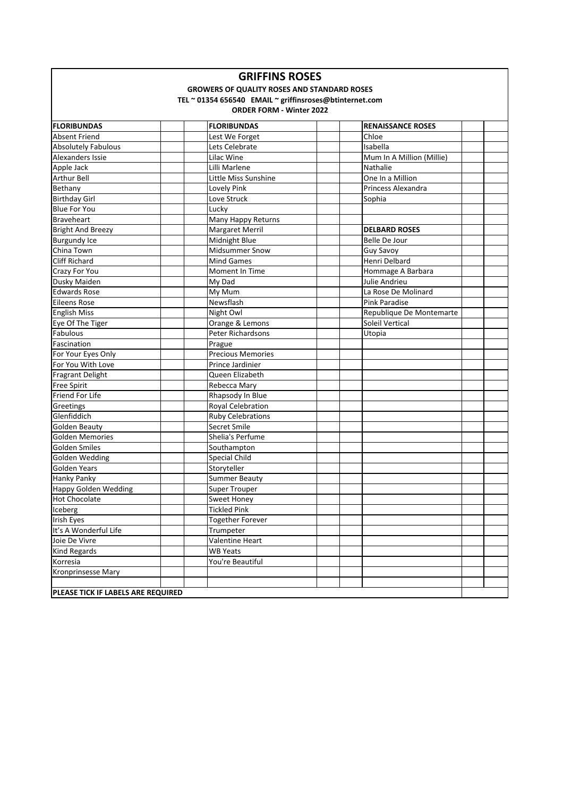| <b>GRIFFINS ROSES</b> |  |
|-----------------------|--|
|-----------------------|--|

### **GROWERS OF QUALITY ROSES AND STANDARD ROSES**

#### **TEL ~ 01354 656540 EMAIL ~ griffinsroses@btinternet.com**

| <b>FLORIBUNDAS</b>                 | <b>FLORIBUNDAS</b>       | <b>RENAISSANCE ROSES</b>  |
|------------------------------------|--------------------------|---------------------------|
| <b>Absent Friend</b>               | Lest We Forget           | Chloe                     |
| <b>Absolutely Fabulous</b>         | Lets Celebrate           | Isabella                  |
| Alexanders Issie                   | Lilac Wine               | Mum In A Million (Millie) |
| Apple Jack                         | Lilli Marlene            | Nathalie                  |
| Arthur Bell                        | Little Miss Sunshine     | One In a Million          |
| Bethany                            | <b>Lovely Pink</b>       | Princess Alexandra        |
| <b>Birthday Girl</b>               | Love Struck              | Sophia                    |
| <b>Blue For You</b>                | Lucky                    |                           |
| <b>Braveheart</b>                  | Many Happy Returns       |                           |
| <b>Bright And Breezy</b>           | <b>Margaret Merril</b>   | <b>DELBARD ROSES</b>      |
| <b>Burgundy Ice</b>                | Midnight Blue            | Belle De Jour             |
| China Town                         | <b>Midsummer Snow</b>    | Guy Savoy                 |
| <b>Cliff Richard</b>               | <b>Mind Games</b>        | Henri Delbard             |
| Crazy For You                      | Moment In Time           | Hommage A Barbara         |
| Dusky Maiden                       | My Dad                   | Julie Andrieu             |
| Edwards Rose                       | My Mum                   | La Rose De Molinard       |
| <b>Eileens Rose</b>                | Newsflash                | <b>Pink Paradise</b>      |
| <b>English Miss</b>                | Night Owl                | Republique De Montemarte  |
| Eye Of The Tiger                   | Orange & Lemons          | <b>Soleil Vertical</b>    |
| Fabulous                           | Peter Richardsons        | Utopia                    |
| Fascination                        | Prague                   |                           |
| For Your Eyes Only                 | <b>Precious Memories</b> |                           |
| For You With Love                  | Prince Jardinier         |                           |
| Fragrant Delight                   | Queen Elizabeth          |                           |
| <b>Free Spirit</b>                 | Rebecca Mary             |                           |
| Friend For Life                    | Rhapsody In Blue         |                           |
| Greetings                          | Royal Celebration        |                           |
| Glenfiddich                        | <b>Ruby Celebrations</b> |                           |
| <b>Golden Beauty</b>               | Secret Smile             |                           |
| <b>Golden Memories</b>             | Shelia's Perfume         |                           |
| <b>Golden Smiles</b>               | Southampton              |                           |
| Golden Wedding                     | <b>Special Child</b>     |                           |
| <b>Golden Years</b>                | Storyteller              |                           |
| <b>Hanky Panky</b>                 | <b>Summer Beauty</b>     |                           |
| <b>Happy Golden Wedding</b>        | <b>Super Trouper</b>     |                           |
| <b>Hot Chocolate</b>               | <b>Sweet Honey</b>       |                           |
| Iceberg                            | <b>Tickled Pink</b>      |                           |
| Irish Eyes                         | <b>Together Forever</b>  |                           |
| It's A Wonderful Life              | Trumpeter                |                           |
| Joie De Vivre                      | Valentine Heart          |                           |
| <b>Kind Regards</b>                | <b>WB Yeats</b>          |                           |
| Korresia                           | You're Beautiful         |                           |
| <b>Kronprinsesse Mary</b>          |                          |                           |
|                                    |                          |                           |
| PLEASE TICK IF LABELS ARE REQUIRED |                          |                           |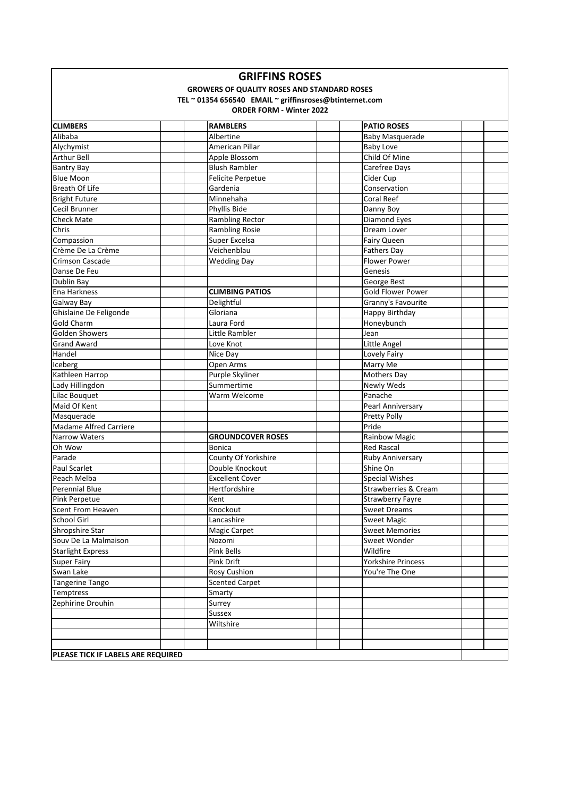| <b>GRIFFINS ROSES</b> |  |
|-----------------------|--|
|-----------------------|--|

## **GROWERS OF QUALITY ROSES AND STANDARD ROSES**

### **TEL ~ 01354 656540 EMAIL ~ griffinsroses@btinternet.com**

| <b>CLIMBERS</b>                    | <b>RAMBLERS</b>          | <b>PATIO ROSES</b>              |  |
|------------------------------------|--------------------------|---------------------------------|--|
| Alibaba                            | Albertine                | Baby Masquerade                 |  |
| Alychymist                         | American Pillar          | <b>Baby Love</b>                |  |
| Arthur Bell                        | Apple Blossom            | Child Of Mine                   |  |
| <b>Bantry Bay</b>                  | <b>Blush Rambler</b>     | Carefree Days                   |  |
| <b>Blue Moon</b>                   | Felicite Perpetue        | Cider Cup                       |  |
| Breath Of Life                     | Gardenia                 | Conservation                    |  |
| <b>Bright Future</b>               | Minnehaha                | <b>Coral Reef</b>               |  |
| Cecil Brunner                      | Phyllis Bide             | Danny Boy                       |  |
| <b>Check Mate</b>                  | <b>Rambling Rector</b>   | <b>Diamond Eyes</b>             |  |
| Chris                              | <b>Rambling Rosie</b>    | Dream Lover                     |  |
| Compassion                         | Super Excelsa            | Fairy Queen                     |  |
| Crème De La Crème                  | Veichenblau              | Fathers Day                     |  |
| <b>Crimson Cascade</b>             | <b>Wedding Day</b>       | <b>Flower Power</b>             |  |
| Danse De Feu                       |                          | Genesis                         |  |
| Dublin Bay                         |                          | George Best                     |  |
| Ena Harkness                       | <b>CLIMBING PATIOS</b>   | <b>Gold Flower Power</b>        |  |
| <b>Galway Bay</b>                  | Delightful               | Granny's Favourite              |  |
| Ghislaine De Feligonde             | Gloriana                 | Happy Birthday                  |  |
| <b>Gold Charm</b>                  | Laura Ford               | Honeybunch                      |  |
| <b>Golden Showers</b>              | Little Rambler           | Jean                            |  |
| <b>Grand Award</b>                 | Love Knot                | Little Angel                    |  |
| Handel                             | Nice Day                 | Lovely Fairy                    |  |
| Iceberg                            | Open Arms                | Marry Me                        |  |
| Kathleen Harrop                    | Purple Skyliner          | Mothers Day                     |  |
| Lady Hillingdon                    | Summertime               | Newly Weds                      |  |
| Lilac Bouquet                      | Warm Welcome             | Panache                         |  |
| Maid Of Kent                       |                          | Pearl Anniversary               |  |
| Masquerade                         |                          | Pretty Polly                    |  |
| <b>Madame Alfred Carriere</b>      |                          | Pride                           |  |
| <b>Narrow Waters</b>               | <b>GROUNDCOVER ROSES</b> | Rainbow Magic                   |  |
| Oh Wow                             | Bonica                   | <b>Red Rascal</b>               |  |
| Parade                             | County Of Yorkshire      | Ruby Anniversary                |  |
| <b>Paul Scarlet</b>                | Double Knockout          | Shine On                        |  |
| Peach Melba                        | <b>Excellent Cover</b>   | <b>Special Wishes</b>           |  |
| Perennial Blue                     | Hertfordshire            | <b>Strawberries &amp; Cream</b> |  |
| Pink Perpetue                      | Kent                     | <b>Strawberry Fayre</b>         |  |
| Scent From Heaven                  | Knockout                 | <b>Sweet Dreams</b>             |  |
| School Girl                        | Lancashire               | <b>Sweet Magic</b>              |  |
| Shropshire Star                    | <b>Magic Carpet</b>      | <b>Sweet Memories</b>           |  |
| Souv De La Malmaison               | Nozomi                   | Sweet Wonder                    |  |
| <b>Starlight Express</b>           | Pink Bells               | Wildfire                        |  |
| Super Fairy                        | Pink Drift               | Yorkshire Princess              |  |
| Swan Lake                          | <b>Rosy Cushion</b>      | You're The One                  |  |
| Tangerine Tango                    | <b>Scented Carpet</b>    |                                 |  |
| Temptress                          | Smarty                   |                                 |  |
| Zephirine Drouhin                  | Surrey                   |                                 |  |
|                                    | Sussex                   |                                 |  |
|                                    | Wiltshire                |                                 |  |
|                                    |                          |                                 |  |
|                                    |                          |                                 |  |
| PLEASE TICK IF LABELS ARE REQUIRED |                          |                                 |  |
|                                    |                          |                                 |  |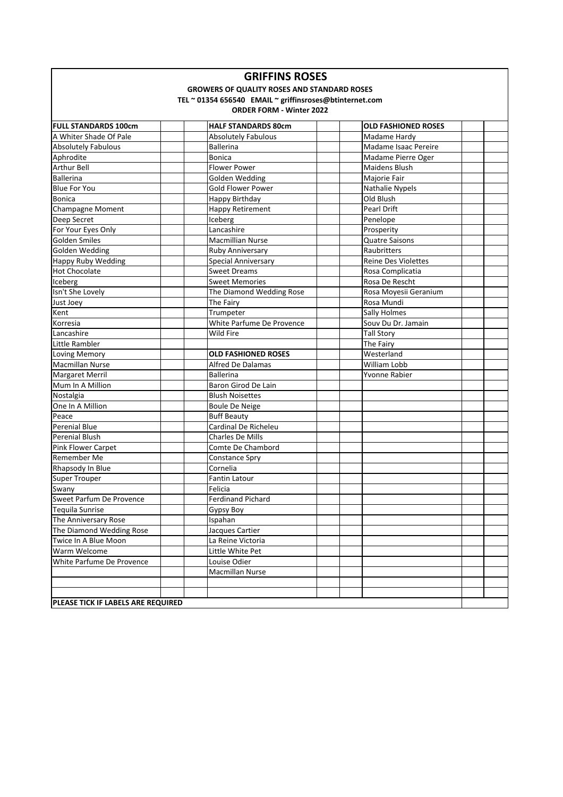# **GRIFFINS ROSES**

### **GROWERS OF QUALITY ROSES AND STANDARD ROSES**

#### **TEL ~ 01354 656540 EMAIL ~ griffinsroses@btinternet.com**

| <b>FULL STANDARDS 100cm</b>               | <b>HALF STANDARDS 80cm</b> | <b>OLD FASHIONED ROSES</b> |  |
|-------------------------------------------|----------------------------|----------------------------|--|
| A Whiter Shade Of Pale                    | <b>Absolutely Fabulous</b> | Madame Hardy               |  |
| <b>Absolutely Fabulous</b>                | <b>Ballerina</b>           | Madame Isaac Pereire       |  |
| Aphrodite                                 | <b>Bonica</b>              | Madame Pierre Oger         |  |
| <b>Arthur Bell</b>                        | <b>Flower Power</b>        | Maidens Blush              |  |
| <b>Ballerina</b>                          | Golden Wedding             | Majorie Fair               |  |
| <b>Blue For You</b>                       | Gold Flower Power          | Nathalie Nypels            |  |
| <b>Bonica</b>                             | Happy Birthday             | Old Blush                  |  |
| <b>Champagne Moment</b>                   | <b>Happy Retirement</b>    | <b>Pearl Drift</b>         |  |
| Deep Secret                               | Iceberg                    | Penelope                   |  |
| For Your Eyes Only                        | Lancashire                 | Prosperity                 |  |
| <b>Golden Smiles</b>                      | <b>Macmillian Nurse</b>    | <b>Quatre Saisons</b>      |  |
| <b>Golden Wedding</b>                     | Ruby Anniversary           | Raubritters                |  |
| <b>Happy Ruby Wedding</b>                 | <b>Special Anniversary</b> | <b>Reine Des Violettes</b> |  |
| <b>Hot Chocolate</b>                      | <b>Sweet Dreams</b>        | Rosa Complicatia           |  |
| Iceberg                                   | <b>Sweet Memories</b>      | Rosa De Rescht             |  |
| Isn't She Lovely                          | The Diamond Wedding Rose   | Rosa Moyesii Geranium      |  |
| Just Joey                                 | The Fairy                  | Rosa Mundi                 |  |
| Kent                                      | Trumpeter                  | <b>Sally Holmes</b>        |  |
| Korresia                                  | White Parfume De Provence  | Souv Du Dr. Jamain         |  |
| Lancashire                                | Wild Fire                  | <b>Tall Story</b>          |  |
| Little Rambler                            |                            | The Fairy                  |  |
| <b>Loving Memory</b>                      | <b>OLD FASHIONED ROSES</b> | Westerland                 |  |
| <b>Macmillan Nurse</b>                    | <b>Alfred De Dalamas</b>   | William Lobb               |  |
| Margaret Merril                           | <b>Ballerina</b>           | Yvonne Rabier              |  |
| Mum In A Million                          | Baron Girod De Lain        |                            |  |
| Nostalgia                                 | <b>Blush Noisettes</b>     |                            |  |
| One In A Million                          | <b>Boule De Neige</b>      |                            |  |
| Peace                                     | <b>Buff Beauty</b>         |                            |  |
| <b>Perenial Blue</b>                      | Cardinal De Richeleu       |                            |  |
| <b>Perenial Blush</b>                     | <b>Charles De Mills</b>    |                            |  |
| Pink Flower Carpet                        | Comte De Chambord          |                            |  |
| Remember Me                               | Constance Spry             |                            |  |
| Rhapsody In Blue                          | Cornelia                   |                            |  |
| <b>Super Trouper</b>                      | Fantin Latour              |                            |  |
| Swany                                     | Felicia                    |                            |  |
| Sweet Parfum De Provence                  | <b>Ferdinand Pichard</b>   |                            |  |
| <b>Tequila Sunrise</b>                    | Gypsy Boy                  |                            |  |
| The Anniversary Rose                      | Ispahan                    |                            |  |
| The Diamond Wedding Rose                  | Jacques Cartier            |                            |  |
| Twice In A Blue Moon                      | La Reine Victoria          |                            |  |
| Warm Welcome                              | Little White Pet           |                            |  |
| White Parfume De Provence                 | Louise Odier               |                            |  |
|                                           | <b>Macmillan Nurse</b>     |                            |  |
|                                           |                            |                            |  |
|                                           |                            |                            |  |
| <b>PLEASE TICK IF LABELS ARE REQUIRED</b> |                            |                            |  |